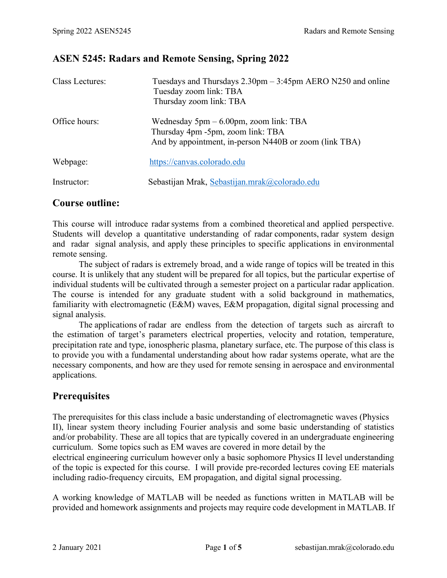# **ASEN 5245: Radars and Remote Sensing, Spring 2022**

| Class Lectures: | Tuesdays and Thursdays $2.30 \text{pm} - 3.45 \text{pm}$ AERO N250 and online<br>Tuesday zoom link: TBA<br>Thursday zoom link: TBA       |
|-----------------|------------------------------------------------------------------------------------------------------------------------------------------|
| Office hours:   | Wednesday $5pm - 6.00pm$ , zoom link: TBA<br>Thursday 4pm -5pm, zoom link: TBA<br>And by appointment, in-person N440B or zoom (link TBA) |
| Webpage:        | https://canvas.colorado.edu                                                                                                              |
| Instructor:     | Sebastijan Mrak, Sebastijan.mrak@colorado.edu                                                                                            |

### **Course outline:**

This course will introduce radar systems from a combined theoretical and applied perspective. Students will develop a quantitative understanding of radar components, radar system design and radar signal analysis, and apply these principles to specific applications in environmental remote sensing.

The subject of radars is extremely broad, and a wide range of topics will be treated in this course. It is unlikely that any student will be prepared for all topics, but the particular expertise of individual students will be cultivated through a semester project on a particular radar application. The course is intended for any graduate student with a solid background in mathematics, familiarity with electromagnetic (E&M) waves, E&M propagation, digital signal processing and signal analysis.

The applications of radar are endless from the detection of targets such as aircraft to the estimation of target's parameters electrical properties, velocity and rotation, temperature, precipitation rate and type, ionospheric plasma, planetary surface, etc. The purpose of this class is to provide you with a fundamental understanding about how radar systems operate, what are the necessary components, and how are they used for remote sensing in aerospace and environmental applications.

# **Prerequisites**

The prerequisites for this class include a basic understanding of electromagnetic waves (Physics II), linear system theory including Fourier analysis and some basic understanding of statistics and/or probability. These are all topics that are typically covered in an undergraduate engineering curriculum. Some topics such as EM waves are covered in more detail by the

electrical engineering curriculum however only a basic sophomore Physics II level understanding of the topic is expected for this course. I will provide pre-recorded lectures coving EE materials including radio-frequency circuits, EM propagation, and digital signal processing.

A working knowledge of MATLAB will be needed as functions written in MATLAB will be provided and homework assignments and projects may require code development in MATLAB. If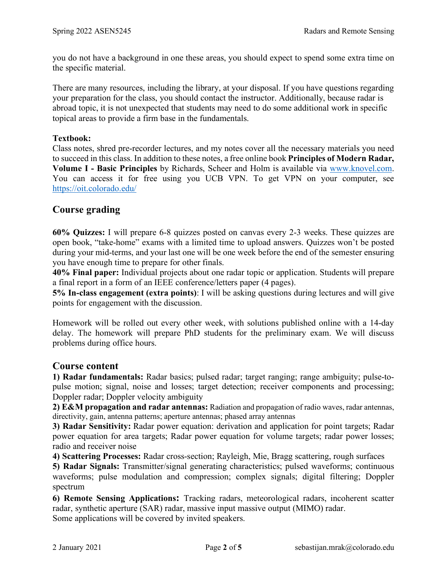you do not have a background in one these areas, you should expect to spend some extra time on the specific material.

There are many resources, including the library, at your disposal. If you have questions regarding your preparation for the class, you should contact the instructor. Additionally, because radar is abroad topic, it is not unexpected that students may need to do some additional work in specific topical areas to provide a firm base in the fundamentals.

#### **Textbook:**

Class notes, shred pre-recorder lectures, and my notes cover all the necessary materials you need to succeed in this class. In addition to these notes, a free online book **Principles of Modern Radar, Volume I - Basic Principles** by Richards, Scheer and Holm is available via [www.knovel.com.](http://www.knovel.com/) You can access it for free using you UCB VPN. To get VPN on your computer, see <https://oit.colorado.edu/>

### **Course grading**

**60% Quizzes:** I will prepare 6-8 quizzes posted on canvas every 2-3 weeks. These quizzes are open book, "take-home" exams with a limited time to upload answers. Quizzes won't be posted during your mid-terms, and your last one will be one week before the end of the semester ensuring you have enough time to prepare for other finals.

**40% Final paper:** Individual projects about one radar topic or application. Students will prepare a final report in a form of an IEEE conference/letters paper (4 pages).

**5% In-class engagement (extra points)**: I will be asking questions during lectures and will give points for engagement with the discussion.

Homework will be rolled out every other week, with solutions published online with a 14-day delay. The homework will prepare PhD students for the preliminary exam. We will discuss problems during office hours.

#### **Course content**

**1) Radar fundamentals:** Radar basics; pulsed radar; target ranging; range ambiguity; pulse-topulse motion; signal, noise and losses; target detection; receiver components and processing; Doppler radar; Doppler velocity ambiguity

**2) E&M propagation and radar antennas:** Radiation and propagation of radio waves, radar antennas, directivity, gain, antenna patterns; aperture antennas; phased array antennas

**3) Radar Sensitivity:** Radar power equation: derivation and application for point targets; Radar power equation for area targets; Radar power equation for volume targets; radar power losses; radio and receiver noise

**4) Scattering Processes:** Radar cross-section; Rayleigh, Mie, Bragg scattering, rough surfaces

**5) Radar Signals:** Transmitter/signal generating characteristics; pulsed waveforms; continuous waveforms; pulse modulation and compression; complex signals; digital filtering; Doppler spectrum

**6) Remote Sensing Applications:** Tracking radars, meteorological radars, incoherent scatter radar, synthetic aperture (SAR) radar, massive input massive output (MIMO) radar. Some applications will be covered by invited speakers.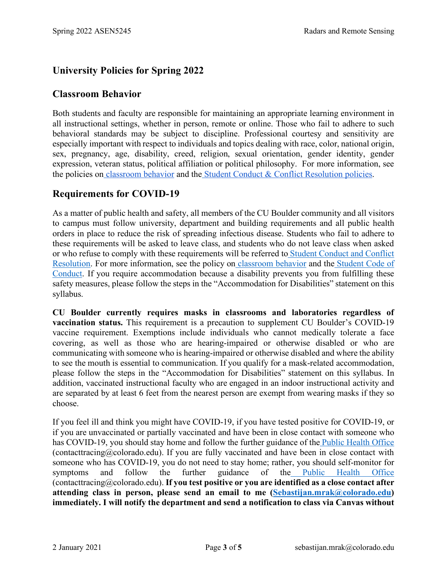# **University Policies for Spring 2022**

#### **Classroom Behavior**

Both students and faculty are responsible for maintaining an appropriate learning environment in all instructional settings, whether in person, remote or online. Those who fail to adhere to such behavioral standards may be subject to discipline. Professional courtesy and sensitivity are especially important with respect to individuals and topics dealing with race, color, national origin, sex, pregnancy, age, disability, creed, religion, sexual orientation, gender identity, gender expression, veteran status, political affiliation or political philosophy. For more information, see the policies o[n](http://www.colorado.edu/policies/student-classroom-and-course-related-behavior) [classroom behavior](http://www.colorado.edu/policies/student-classroom-and-course-related-behavior) and th[e](https://www.colorado.edu/sccr/student-conduct) [Student Conduct & Conflict Resolution policies.](https://www.colorado.edu/sccr/student-conduct)

# **Requirements for COVID-19**

As a matter of public health and safety, all members of the CU Boulder community and all visitors to campus must follow university, department and building requirements and all public health orders in place to reduce the risk of spreading infectious disease. Students who fail to adhere to these requirements will be asked to leave class, and students who do not leave class when asked or who refuse to comply with these requirements will be referred to [Student Conduct and Conflict](https://www.colorado.edu/sccr/)  [Resolution.](https://www.colorado.edu/sccr/) For more information, see the policy on [classroom behavior](http://www.colorado.edu/policies/student-classroom-and-course-related-behavior) and the [Student Code of](http://www.colorado.edu/osccr/)  [Conduct.](http://www.colorado.edu/osccr/) If you require accommodation because a disability prevents you from fulfilling these safety measures, please follow the steps in the "Accommodation for Disabilities" statement on this syllabus.

**CU Boulder currently requires masks in classrooms and laboratories regardless of vaccination status.** This requirement is a precaution to supplement CU Boulder's COVID-19 vaccine requirement. Exemptions include individuals who cannot medically tolerate a face covering, as well as those who are hearing-impaired or otherwise disabled or who are communicating with someone who is hearing-impaired or otherwise disabled and where the ability to see the mouth is essential to communication. If you qualify for a mask-related accommodation, please follow the steps in the "Accommodation for Disabilities" statement on this syllabus. In addition, vaccinated instructional faculty who are engaged in an indoor instructional activity and are separated by at least 6 feet from the nearest person are exempt from wearing masks if they so choose.

If you feel ill and think you might have COVID-19, if you have tested positive for COVID-19, or if you are unvaccinated or partially vaccinated and have been in close contact with someone who has COVID-19, you should stay home and follow the further guidance of th[e](https://www.colorado.edu/health/public-health/quarantine-and-isolation) [Public Health Office](https://www.colorado.edu/health/public-health/quarantine-and-isolation) (contacttracing@colorado.edu). If you are fully vaccinated and have been in close contact with someone who has COVID-19, you do not need to stay home; rather, you should self-monitor for symptoms and follow the further guidance of the [Public Health Office](https://www.colorado.edu/health/public-health/quarantine-and-isolation) (contacttracing@colorado.edu). **If you test positive or you are identified as a close contact after attending class in person, please send an email to me [\(Sebastijan.mrak@colorado.edu\)](mailto:Sebastijan.mrak@colorado.edu) immediately. I will notify the department and send a notification to class via Canvas without**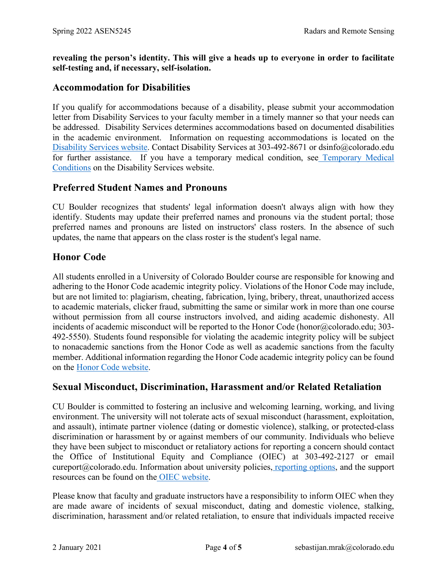**revealing the person's identity. This will give a heads up to everyone in order to facilitate self-testing and, if necessary, self-isolation.**

### **Accommodation for Disabilities**

If you qualify for accommodations because of a disability, please submit your accommodation letter from Disability Services to your faculty member in a timely manner so that your needs can be addressed. Disability Services determines accommodations based on documented disabilities in the academic environment. Information on requesting accommodations is located on th[e](https://www.colorado.edu/disabilityservices/) [Disability Services website.](https://www.colorado.edu/disabilityservices/) Contact Disability Services at 303-492-8671 or dsinfo@colorado.edu for further assistance. If you have a temporary medical condition, se[e](http://www.colorado.edu/disabilityservices/students/temporary-medical-conditions) [Temporary Medical](http://www.colorado.edu/disabilityservices/students/temporary-medical-conditions)  [Conditions](http://www.colorado.edu/disabilityservices/students/temporary-medical-conditions) on the Disability Services website.

#### **Preferred Student Names and Pronouns**

CU Boulder recognizes that students' legal information doesn't always align with how they identify. Students may update their preferred names and pronouns via the student portal; those preferred names and pronouns are listed on instructors' class rosters. In the absence of such updates, the name that appears on the class roster is the student's legal name.

#### **Honor Code**

All students enrolled in a University of Colorado Boulder course are responsible for knowing and adhering to the Honor Code academic integrity policy. Violations of the Honor Code may include, but are not limited to: plagiarism, cheating, fabrication, lying, bribery, threat, unauthorized access to academic materials, clicker fraud, submitting the same or similar work in more than one course without permission from all course instructors involved, and aiding academic dishonesty. All incidents of academic misconduct will be reported to the Honor Code (honor@colorado.edu; 303-492-5550). Students found responsible for violating the academic integrity policy will be subject to nonacademic sanctions from the Honor Code as well as academic sanctions from the faculty member. Additional information regarding the Honor Code academic integrity policy can be found on the [Honor Code website.](https://www.colorado.edu/osccr/honor-code)

#### **Sexual Misconduct, Discrimination, Harassment and/or Related Retaliation**

CU Boulder is committed to fostering an inclusive and welcoming learning, working, and living environment. The university will not tolerate acts of sexual misconduct (harassment, exploitation, and assault), intimate partner violence (dating or domestic violence), stalking, or protected-class discrimination or harassment by or against members of our community. Individuals who believe they have been subject to misconduct or retaliatory actions for reporting a concern should contact the Office of Institutional Equity and Compliance (OIEC) at 303-492-2127 or email cureport@colorado.edu. Information about university policies[,](https://www.colorado.edu/oiec/reporting-resolutions/making-report) [reporting options,](https://www.colorado.edu/oiec/reporting-resolutions/making-report) and the support resources can be found on th[e](http://www.colorado.edu/institutionalequity/) [OIEC website.](http://www.colorado.edu/institutionalequity/)

Please know that faculty and graduate instructors have a responsibility to inform OIEC when they are made aware of incidents of sexual misconduct, dating and domestic violence, stalking, discrimination, harassment and/or related retaliation, to ensure that individuals impacted receive